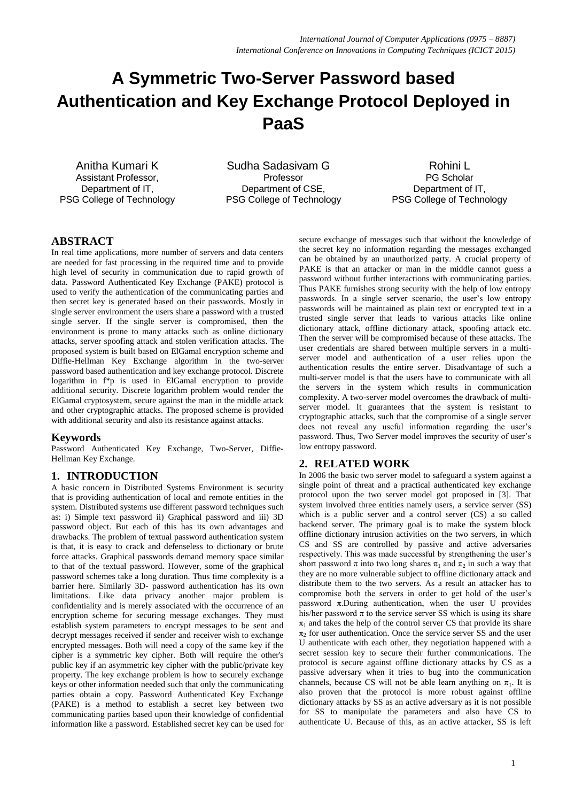# **A Symmetric Two-Server Password based Authentication and Key Exchange Protocol Deployed in PaaS**

Anitha Kumari K Assistant Professor, Department of IT, PSG College of Technology

 Sudha Sadasivam G Professor Department of CSE, PSG College of Technology

Rohini L PG Scholar Department of IT, PSG College of Technology

# **ABSTRACT**

In real time applications, more number of servers and data centers are needed for fast processing in the required time and to provide high level of security in communication due to rapid growth of data. Password Authenticated Key Exchange (PAKE) protocol is used to verify the authentication of the communicating parties and then secret key is generated based on their passwords. Mostly in single server environment the users share a password with a trusted single server. If the single server is compromised, then the environment is prone to many attacks such as online dictionary attacks, server spoofing attack and stolen verification attacks. The proposed system is built based on ElGamal encryption scheme and Diffie-Hellman Key Exchange algorithm in the two-server password based authentication and key exchange protocol. Discrete logarithm in f\*p is used in ElGamal encryption to provide additional security. Discrete logarithm problem would render the ElGamal cryptosystem, secure against the man in the middle attack and other cryptographic attacks. The proposed scheme is provided with additional security and also its resistance against attacks.

## **Keywords**

Password Authenticated Key Exchange, Two-Server, Diffie-Hellman Key Exchange.

# **1. INTRODUCTION**

A basic concern in Distributed Systems Environment is security that is providing authentication of local and remote entities in the system. Distributed systems use different password techniques such as: i) Simple text password ii) Graphical password and iii) 3D password object. But each of this has its own advantages and drawbacks. The problem of textual password authentication system is that, it is easy to crack and defenseless to dictionary or brute force attacks. Graphical passwords demand memory space similar to that of the textual password. However, some of the graphical password schemes take a long duration. Thus time complexity is a barrier here. Similarly 3D- password authentication has its own limitations. Like data privacy another major problem is confidentiality and is merely associated with the occurrence of an encryption scheme for securing message exchanges. They must establish system parameters to encrypt messages to be sent and decrypt messages received if sender and receiver wish to exchange encrypted messages. Both will need a copy of the same key if the cipher is a symmetric key cipher. Both will require the other's public key if an asymmetric key cipher with the public/private key property. The key exchange problem is how to securely exchange keys or other information needed such that only the communicating parties obtain a copy. Password Authenticated Key Exchange (PAKE) is a method to establish a secret key between two communicating parties based upon their knowledge of confidential information like a password. Established secret key can be used for

secure exchange of messages such that without the knowledge of the secret key no information regarding the messages exchanged can be obtained by an unauthorized party. A crucial property of PAKE is that an attacker or man in the middle cannot guess a password without further interactions with communicating parties. Thus PAKE furnishes strong security with the help of low entropy passwords. In a single server scenario, the user's low entropy passwords will be maintained as plain text or encrypted text in a trusted single server that leads to various attacks like online dictionary attack, offline dictionary attack, spoofing attack etc. Then the server will be compromised because of these attacks. The user credentials are shared between multiple servers in a multiserver model and authentication of a user relies upon the authentication results the entire server. Disadvantage of such a multi-server model is that the users have to communicate with all the servers in the system which results in communication complexity. A two-server model overcomes the drawback of multiserver model. It guarantees that the system is resistant to cryptographic attacks, such that the compromise of a single server does not reveal any useful information regarding the user's password. Thus, Two Server model improves the security of user's low entropy password.

# **2. RELATED WORK**

In 2006 the basic two server model to safeguard a system against a single point of threat and a practical authenticated key exchange protocol upon the two server model got proposed in [3]. That system involved three entities namely users, a service server (SS) which is a public server and a control server (CS) a so called backend server. The primary goal is to make the system block offline dictionary intrusion activities on the two servers, in which CS and SS are controlled by passive and active adversaries respectively. This was made successful by strengthening the user's short password  $\pi$  into two long shares  $\pi_1$  and  $\pi_2$  in such a way that they are no more vulnerable subject to offline dictionary attack and distribute them to the two servers. As a result an attacker has to compromise both the servers in order to get hold of the user's password π.During authentication, when the user U provides his/her password  $\pi$  to the service server SS which is using its share  $\pi_1$  and takes the help of the control server CS that provide its share  $\pi_2$  for user authentication. Once the service server SS and the user U authenticate with each other, they negotiation happened with a secret session key to secure their further communications. The protocol is secure against offline dictionary attacks by CS as a passive adversary when it tries to bug into the communication channels, because CS will not be able learn anything on  $\pi_1$ . It is also proven that the protocol is more robust against offline dictionary attacks by SS as an active adversary as it is not possible for SS to manipulate the parameters and also have CS to authenticate U. Because of this, as an active attacker, SS is left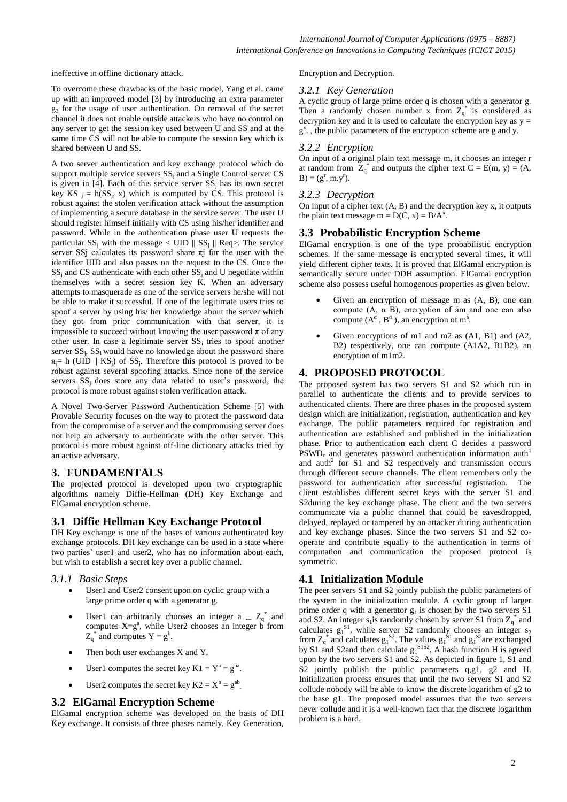ineffective in offline dictionary attack.

To overcome these drawbacks of the basic model, Yang et al. came up with an improved model [3] by introducing an extra parameter g3 for the usage of user authentication. On removal of the secret channel it does not enable outside attackers who have no control on any server to get the session key used between U and SS and at the same time CS will not be able to compute the session key which is shared between U and SS.

A two server authentication and key exchange protocol which do support multiple service servers  $SS_i$  and a Single Control server  $CS$ is given in  $[4]$ . Each of this service server  $SS_i$  has its own secret key KS  $_j = h(SS_j, x)$  which is computed by CS. This protocol is robust against the stolen verification attack without the assumption of implementing a secure database in the service server. The user U should register himself initially with CS using his/her identifier and password. While in the authentication phase user U requests the particular  $SS_j$  with the message  $\lt$  UID  $\parallel SS_j \parallel$  Req $\gt$ . The service server SSj calculates its password share  $\pi$ j for the user with the identifier UID and also passes on the request to the CS. Once the  $SS_i$  and CS authenticate with each other  $SS_i$  and U negotiate within themselves with a secret session key K. When an adversary attempts to masquerade as one of the service servers he/she will not be able to make it successful. If one of the legitimate users tries to spoof a server by using his/ her knowledge about the server which they got from prior communication with that server, it is impossible to succeed without knowing the user password  $\pi$  of any other user. In case a legitimate server  $SS_i$  tries to spoof another server  $SS_i$ ,  $SS_i$  would have no knowledge about the password share  $\pi_j$ = h (UID || KS<sub>j</sub>) of SS<sub>j</sub>. Therefore this protocol is proved to be robust against several spoofing attacks. Since none of the service servers  $SS_i$  does store any data related to user's password, the protocol is more robust against stolen verification attack.

A Novel Two-Server Password Authentication Scheme [5] with Provable Security focuses on the way to protect the password data from the compromise of a server and the compromising server does not help an adversary to authenticate with the other server. This protocol is more robust against off-line dictionary attacks tried by an active adversary.

### **3. FUNDAMENTALS**

The projected protocol is developed upon two cryptographic algorithms namely Diffie-Hellman (DH) Key Exchange and ElGamal encryption scheme.

### **3.1 Diffie Hellman Key Exchange Protocol**

DH Key exchange is one of the bases of various authenticated key exchange protocols. DH key exchange can be used in a state where two parties' user1 and user2, who has no information about each, but wish to establish a secret key over a public channel.

#### *3.1.1 Basic Steps*

- User1 and User2 consent upon on cyclic group with a large prime order q with a generator g.
- User1 can arbitrarily chooses an integer a  $\leftarrow Z_q^*$  and computes  $X = g^a$ , while User2 chooses an integer b from  $Z_q^*$  and computes  $Y = g^b$ .
- Then both user exchanges X and Y.
- User1 computes the secret key  $K1 = Y^a = g^{ba}$ .
- User2 computes the secret key  $K2 = X^b = g^{ab}$ .

#### **3.2 ElGamal Encryption Scheme**

ElGamal encryption scheme was developed on the basis of DH Key exchange. It consists of three phases namely, Key Generation,

Encryption and Decryption.

#### *3.2.1 Key Generation*

A cyclic group of large prime order q is chosen with a generator g. Then a randomly chosen number x from  $Z_q^*$  is considered as decryption key and it is used to calculate the encryption key as  $y =$ g x . , the public parameters of the encryption scheme are g and y.

#### *3.2.2 Encryption*

On input of a original plain text message m, it chooses an integer r at random from  $Z_q^*$  and outputs the cipher text  $C = E(m, y) = (A,$  $B) = (g^{r}, m.y^{r}).$ 

#### *3.2.3 Decryption*

On input of a cipher text (A, B) and the decryption key x, it outputs the plain text message  $m = D(C, x) = B/A<sup>x</sup>$ .

## **3.3 Probabilistic Encryption Scheme**

ElGamal encryption is one of the type probabilistic encryption schemes. If the same message is encrypted several times, it will yield different cipher texts. It is proved that ElGamal encryption is semantically secure under DDH assumption. ElGamal encryption scheme also possess useful homogenous properties as given below.

- Given an encryption of message m as (A, B), one can compute (A, α B), encryption of ám and one can also compute  $(A^{\alpha}, B^{\alpha})$ , an encryption of m<sup>á</sup>.
- Given encryptions of m1 and m2 as (A1, B1) and (A2, B2) respectively, one can compute (A1A2, B1B2), an encryption of m1m2.

#### **4. PROPOSED PROTOCOL**

The proposed system has two servers S1 and S2 which run in parallel to authenticate the clients and to provide services to authenticated clients. There are three phases in the proposed system design which are initialization, registration, authentication and key exchange. The public parameters required for registration and authentication are established and published in the initialization phase. Prior to authentication each client C decides a password  $PSWD<sub>c</sub>$  and generates password authentication information auth<sup>1</sup> and  $auth<sup>2</sup>$  for S1 and S2 respectively and transmission occurs through different secure channels. The client remembers only the password for authentication after successful registration. The client establishes different secret keys with the server S1 and S2during the key exchange phase. The client and the two servers communicate via a public channel that could be eavesdropped, delayed, replayed or tampered by an attacker during authentication and key exchange phases. Since the two servers S1 and S2 cooperate and contribute equally to the authentication in terms of computation and communication the proposed protocol is symmetric.

### **4.1 Initialization Module**

The peer servers S1 and S2 jointly publish the public parameters of the system in the initialization module. A cyclic group of larger prime order q with a generator  $g_1$  is chosen by the two servers  $S1$ and S2. An integer  $s_1$  is randomly chosen by server S1 from  $Z_q^*$  and calculates  $g_1^S$ , while server S2 randomly chooses an integer  $s_2$ from  $Z_q^*$  and calculates  $g_1^{\ S2}$ . The values  $g_1^{\ S1}$  and  $g_1^{\ S2}$ are exchanged by S1 and S2and then calculate  $g_1^{S1S2}$ . A hash function H is agreed upon by the two servers S1 and S2. As depicted in figure 1, S1 and S2 jointly publish the public parameters q,g1, g2 and H. Initialization process ensures that until the two servers S1 and S2 collude nobody will be able to know the discrete logarithm of g2 to the base g1. The proposed model assumes that the two servers never collude and it is a well-known fact that the discrete logarithm problem is a hard.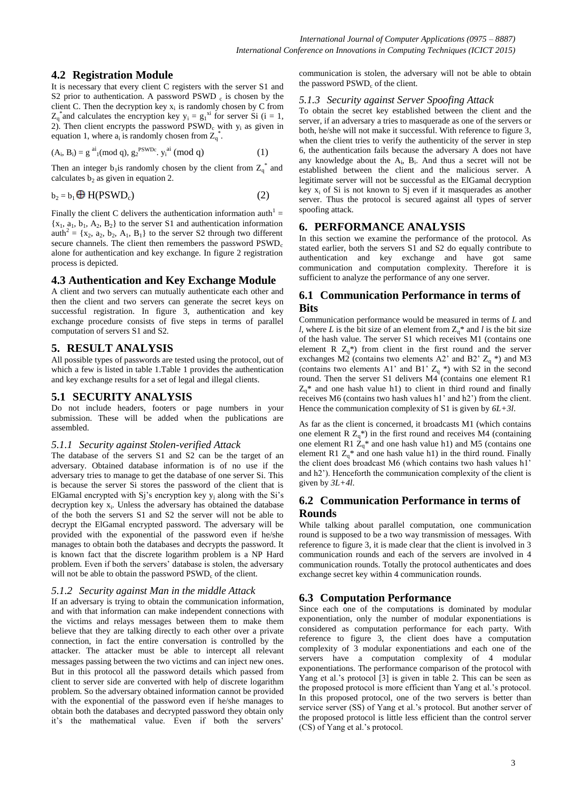# **4.2 Registration Module**

It is necessary that every client C registers with the server S1 and S2 prior to authentication. A password  $PSWD_c$  is chosen by the client C. Then the decryption key  $x_i$  is randomly chosen by C from  $Z_q^*$  and calculates the encryption key  $y_i = g_i^{x_i}$  for server Si (i = 1, 2). Then client encrypts the password  $PSWD_c$  with  $y_i$  as given in equation 1, where  $a_i$  is randomly chosen from  $Z_q^*$ .

$$
(Ai, Bi) = gai1(mod q), g2PSWDc, yiai (mod q)
$$
 (1)

Then an integer  $b_1$  is randomly chosen by the client from  $Z_q^*$  and calculates  $b_2$  as given in equation 2.

$$
b_2 = b_1 \bigoplus H(PSWD_c)
$$
 (2)

Finally the client C delivers the authentication information auth<sup>1</sup> =  $\{x_1, a_1, b_1, A_2, B_2\}$  to the server S1 and authentication information auth<sup>2</sup> = { $x_2$ ,  $a_2$ ,  $b_2$ ,  $A_1$ ,  $B_1$ } to the server S2 through two different secure channels. The client then remembers the password  $\text{PSWD}_c$ alone for authentication and key exchange. In figure 2 registration process is depicted.

## **4.3 Authentication and Key Exchange Module**

A client and two servers can mutually authenticate each other and then the client and two servers can generate the secret keys on successful registration. In figure 3, authentication and key exchange procedure consists of five steps in terms of parallel computation of servers S1 and S2.

## **5. RESULT ANALYSIS**

All possible types of passwords are tested using the protocol, out of which a few is listed in table 1.Table 1 provides the authentication and key exchange results for a set of legal and illegal clients.

# **5.1 SECURITY ANALYSIS**

Do not include headers, footers or page numbers in your submission. These will be added when the publications are assembled.

### *5.1.1 Security against Stolen-verified Attack*

The database of the servers S1 and S2 can be the target of an adversary. Obtained database information is of no use if the adversary tries to manage to get the database of one server Si. This is because the server Si stores the password of the client that is ElGamal encrypted with Sj's encryption key  $y_i$  along with the Si's decryption key x<sub>i</sub>. Unless the adversary has obtained the database of the both the servers S1 and S2 the server will not be able to decrypt the ElGamal encrypted password. The adversary will be provided with the exponential of the password even if he/she manages to obtain both the databases and decrypts the password. It is known fact that the discrete logarithm problem is a NP Hard problem. Even if both the servers' database is stolen, the adversary will not be able to obtain the password  $\text{PSWD}_c$  of the client.

## *5.1.2 Security against Man in the middle Attack*

If an adversary is trying to obtain the communication information, and with that information can make independent connections with the victims and relays messages between them to make them believe that they are talking directly to each other over a private connection, in fact the entire conversation is controlled by the attacker. The attacker must be able to intercept all relevant messages passing between the two victims and can inject new ones. But in this protocol all the password details which passed from client to server side are converted with help of discrete logarithm problem. So the adversary obtained information cannot be provided with the exponential of the password even if he/she manages to obtain both the databases and decrypted password they obtain only it's the mathematical value. Even if both the servers'

communication is stolen, the adversary will not be able to obtain the password PSWD<sub>c</sub> of the client.

## *5.1.3 Security against Server Spoofing Attack*

To obtain the secret key established between the client and the server, if an adversary a tries to masquerade as one of the servers or both, he/she will not make it successful. With reference to figure 3, when the client tries to verify the authenticity of the server in step 6, the authentication fails because the adversary A does not have any knowledge about the  $A_i$ ,  $B_i$ . And thus a secret will not be established between the client and the malicious server. A legitimate server will not be successful as the ElGamal decryption key  $x_i$  of Si is not known to Si even if it masquerades as another server. Thus the protocol is secured against all types of server spoofing attack.

# **6. PERFORMANCE ANALYSIS**

In this section we examine the performance of the protocol. As stated earlier, both the servers S1 and S2 do equally contribute to authentication and key exchange and have got same communication and computation complexity. Therefore it is sufficient to analyze the performance of any one server.

# **6.1 Communication Performance in terms of Bits**

Communication performance would be measured in terms of *L* and *l*, where *L* is the bit size of an element from  $Z_0^*$  and *l* is the bit size of the hash value. The server S1 which receives M1 (contains one element R  $Z_a^*$ ) from client in the first round and the server exchanges M2 (contains two elements A2' and B2'  $Z_q$  \*) and M3 (contains two elements A1' and B1'  $Z_q$  \*) with S2 in the second round. Then the server S1 delivers M4 (contains one element R1  $Z_0^*$  and one hash value h1) to client in third round and finally receives M6 (contains two hash values h1' and h2') from the client. Hence the communication complexity of S1 is given by *6L+3l*.

As far as the client is concerned, it broadcasts M1 (which contains one element R  $Z_q^*$ ) in the first round and receives M4 (containing one element R1  $Z_q^*$  and one hash value h1) and M5 (contains one element R1  $Z_q^*$  and one hash value h1) in the third round. Finally the client does broadcast M6 (which contains two hash values h1' and h2'). Henceforth the communication complexity of the client is given by *3L+4l*.

# **6.2 Communication Performance in terms of Rounds**

While talking about parallel computation, one communication round is supposed to be a two way transmission of messages. With reference to figure 3, it is made clear that the client is involved in 3 communication rounds and each of the servers are involved in 4 communication rounds. Totally the protocol authenticates and does exchange secret key within 4 communication rounds.

# **6.3 Computation Performance**

Since each one of the computations is dominated by modular exponentiation, only the number of modular exponentiations is considered as computation performance for each party. With reference to figure 3, the client does have a computation complexity of 3 modular exponentiations and each one of the servers have a computation complexity of 4 modular exponentiations. The performance comparison of the protocol with Yang et al.'s protocol [3] is given in table 2. This can be seen as the proposed protocol is more efficient than Yang et al.'s protocol. In this proposed protocol, one of the two servers is better than service server (SS) of Yang et al.'s protocol. But another server of the proposed protocol is little less efficient than the control server (CS) of Yang et al.'s protocol.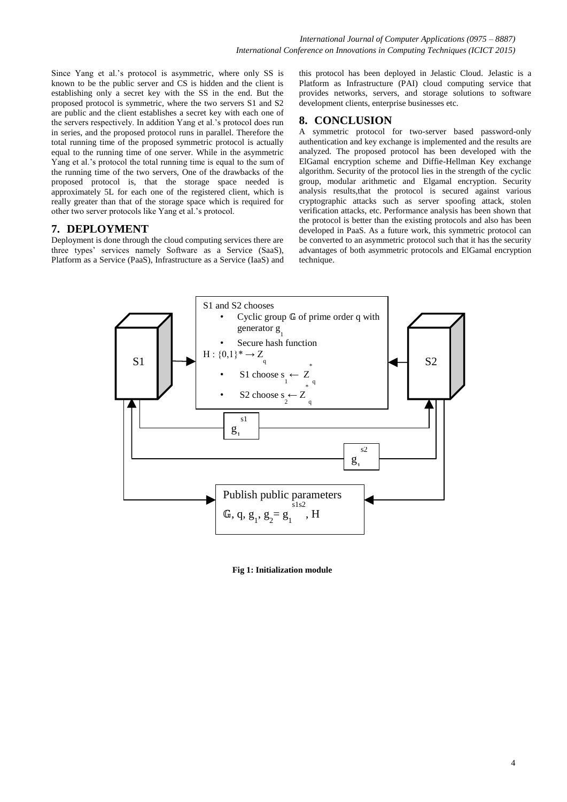Since Yang et al.'s protocol is asymmetric, where only SS is known to be the public server and CS is hidden and the client is establishing only a secret key with the SS in the end. But the proposed protocol is symmetric, where the two servers S1 and S2 are public and the client establishes a secret key with each one of the servers respectively. In addition Yang et al.'s protocol does run in series, and the proposed protocol runs in parallel. Therefore the total running time of the proposed symmetric protocol is actually equal to the running time of one server. While in the asymmetric Yang et al.'s protocol the total running time is equal to the sum of the running time of the two servers, One of the drawbacks of the proposed protocol is, that the storage space needed is approximately 5L for each one of the registered client, which is really greater than that of the storage space which is required for other two server protocols like Yang et al.'s protocol.

## **7. DEPLOYMENT**

Deployment is done through the cloud computing services there are three types' services namely Software as a Service (SaaS), Platform as a Service (PaaS), Infrastructure as a Service (IaaS) and this protocol has been deployed in Jelastic Cloud. Jelastic is a Platform as Infrastructure (PAI) cloud computing service that provides networks, servers, and storage solutions to software development clients, enterprise businesses etc.

# **8. CONCLUSION**

A symmetric protocol for two-server based password-only authentication and key exchange is implemented and the results are analyzed. The proposed protocol has been developed with the ElGamal encryption scheme and Diffie-Hellman Key exchange algorithm. Security of the protocol lies in the strength of the cyclic group, modular arithmetic and Elgamal encryption. Security analysis results,that the protocol is secured against various cryptographic attacks such as server spoofing attack, stolen verification attacks, etc. Performance analysis has been shown that the protocol is better than the existing protocols and also has been developed in PaaS. As a future work, this symmetric protocol can be converted to an asymmetric protocol such that it has the security advantages of both asymmetric protocols and ElGamal encryption technique.



**Fig 1: Initialization module**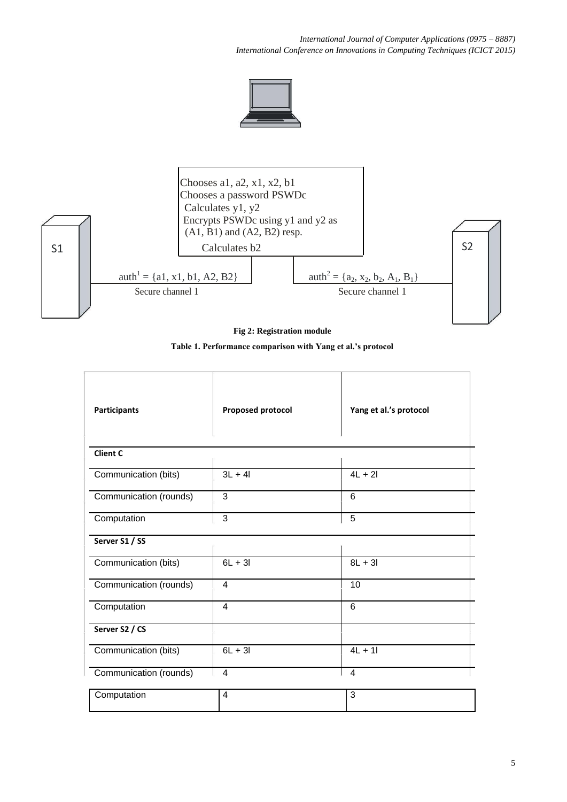*International Journal of Computer Applications (0975 – 8887) International Conference on Innovations in Computing Techniques (ICICT 2015)*





**Fig 2: Registration module**

**Table 1. Performance comparison with Yang et al.'s protocol**

| <b>Participants</b>    | <b>Proposed protocol</b> | Yang et al.'s protocol |
|------------------------|--------------------------|------------------------|
| <b>Client C</b>        |                          |                        |
| Communication (bits)   | $3L + 4I$                | $4L + 2I$              |
| Communication (rounds) | 3                        | 6                      |
| Computation            | 3                        | $\overline{5}$         |
| Server S1 / SS         |                          |                        |
| Communication (bits)   | $6L + 3I$                | $8L + 3I$              |
| Communication (rounds) | $\overline{4}$           | 10                     |
| Computation            | 4                        | 6                      |
| Server S2 / CS         |                          |                        |
| Communication (bits)   | $6L + 3I$                | $4L + 11$              |
| Communication (rounds) | $\overline{4}$           | $\overline{4}$         |
| Computation            | $\overline{4}$           | 3                      |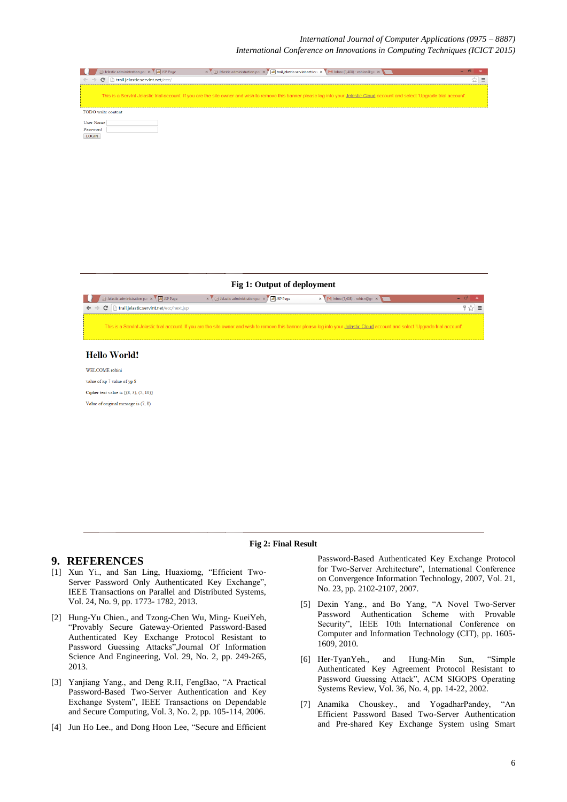#### *International Journal of Computer Applications (0975 – 8887)*

*International Conference on Innovations in Computing Techniques (ICICT 2015)*

| $\mathbf{X} \setminus \mathbf{X}$ Jelastic administration par $\mathbf{X} \setminus \mathbf{X}$ trail.jelastic.servint.net/ecc $\mathbf{X} \setminus \mathbf{M}$ Inbox (1,408) - rohicn@qn $\mathbf{X} \setminus \mathbf{M}$<br>Delastic administration par x V X JSP Page |  |
|----------------------------------------------------------------------------------------------------------------------------------------------------------------------------------------------------------------------------------------------------------------------------|--|
| trail.jelastic.servint.net/ecc/<br>$\leftarrow$ $\rightarrow$<br>C                                                                                                                                                                                                         |  |
| This is a Servint Jelastic trial account. If you are the site owner and wish to remove this banner please log into your Jelastic Cloud account and select 'Upgrade trial account'.                                                                                         |  |
| <b>TODO</b> write content                                                                                                                                                                                                                                                  |  |
| <b>User Name</b>                                                                                                                                                                                                                                                           |  |
| Password                                                                                                                                                                                                                                                                   |  |
| <b>LOGIN</b>                                                                                                                                                                                                                                                               |  |

**Fig 1: Output of deployment**



#### **Hello World!**

WELCOME rohini value of xp 7 value of yp 8 Cipher text value is  $\{(8, 3), (5, 10)\}\$ Value of original message is (7, 8)

#### **Fig 2: Final Result**

## **9. REFERENCES**

- [1] Xun Yi., and San Ling, Huaxiomg, "Efficient Two-Server Password Only Authenticated Key Exchange", IEEE Transactions on Parallel and Distributed Systems, Vol. 24, No. 9, pp. 1773- 1782, 2013.
- [2] Hung-Yu Chien., and Tzong-Chen Wu, Ming- KueiYeh, "Provably Secure Gateway-Oriented Password-Based Authenticated Key Exchange Protocol Resistant to Password Guessing Attacks",Journal Of Information Science And Engineering, Vol. 29, No. 2, pp. 249-265, 2013.
- [3] Yanjiang Yang., and Deng R.H, FengBao, "A Practical Password-Based Two-Server Authentication and Key Exchange System", IEEE Transactions on Dependable and Secure Computing, Vol. 3, No. 2, pp. 105-114, 2006.
- [4] Jun Ho Lee., and Dong Hoon Lee, "Secure and Efficient

Password-Based Authenticated Key Exchange Protocol for Two-Server Architecture", International Conference on Convergence Information Technology, 2007, Vol. 21, No. 23, pp. 2102-2107, 2007.

- [5] Dexin Yang., and Bo Yang, "A Novel Two-Server Password Authentication Scheme with Provable Security", IEEE 10th International Conference on Computer and Information Technology (CIT), pp. 1605- 1609, 2010.
- [6] Her-TyanYeh., and Hung-Min Sun, "Simple Authenticated Key Agreement Protocol Resistant to Password Guessing Attack", ACM SIGOPS Operating Systems Review, Vol. 36, No. 4, pp. 14-22, 2002.
- [7] Anamika Chouskey., and YogadharPandey, "An Efficient Password Based Two-Server Authentication and Pre-shared Key Exchange System using Smart